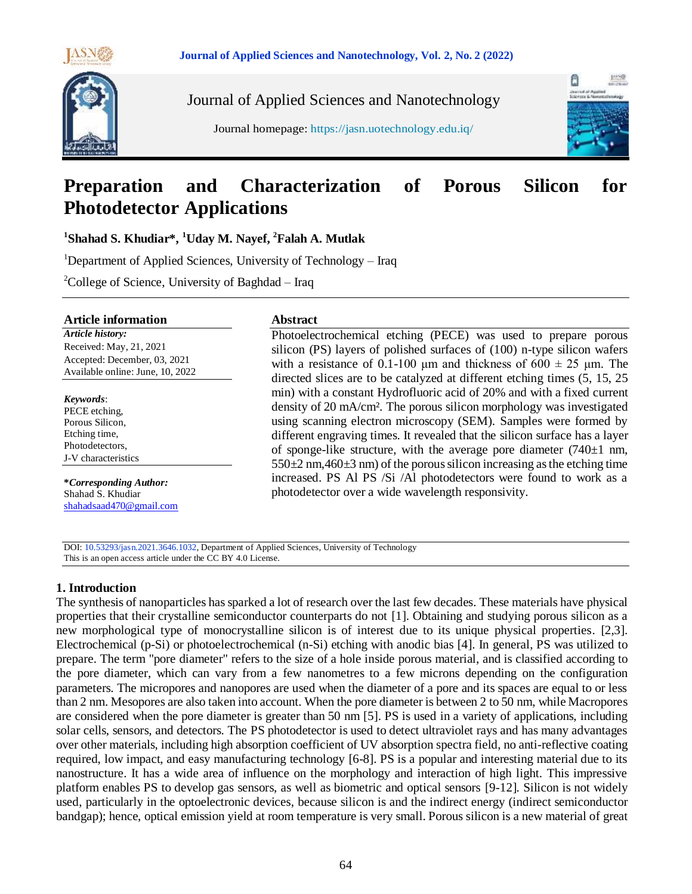

Journal of Applied Sciences and Nanotechnology



Journal homepage: https://jasn.uotechnology.edu.iq/

# **Preparation and Characterization of Porous Silicon for Photodetector Applications**

**1 Shahad S. Khudiar\*, <sup>1</sup>Uday M. Nayef, <sup>2</sup>Falah A. Mutlak**

<sup>1</sup>Department of Applied Sciences, University of Technology – Iraq  ${}^{2}$ College of Science, University of Baghdad – Iraq

## **Article information**

*Article history:* Received: May, 21, 2021 Accepted: December, 03, 2021 Available online: June, 10, 2022

*Keywords*: PECE etching, Porous Silicon, Etching time, Photodetectors, J-V characteristics

**\****Corresponding Author:* Shahad S. Khudiar [shahadsaad470@gmail.com](mailto:shahadsaad470@gmail.com)

#### **Abstract**

Photoelectrochemical etching (PECE) was used to prepare porous silicon (PS) layers of polished surfaces of (100) n-type silicon wafers with a resistance of 0.1-100 μm and thickness of  $600 \pm 25$  μm. The directed slices are to be catalyzed at different etching times (5, 15, 25 min) with a constant Hydrofluoric acid of 20% and with a fixed current density of 20 mA/cm². The porous silicon morphology was investigated using scanning electron microscopy (SEM). Samples were formed by different engraving times. It revealed that the silicon surface has a layer of sponge-like structure, with the average pore diameter  $(740\pm1)$  nm,  $550\pm2$  nm,  $460\pm3$  nm) of the porous silicon increasing as the etching time increased. PS Al PS /Si /Al photodetectors were found to work as a photodetector over a wide wavelength responsivity.

DOI: 10.53293/jasn.2021.3646.1032, Department of Applied Sciences, University of Technology This is an open access article under the CC BY 4.0 License.

## **1. Introduction**

The synthesis of nanoparticles has sparked a lot of research over the last few decades. These materials have physical properties that their crystalline semiconductor counterparts do not [1]. Obtaining and studying porous silicon as a new morphological type of monocrystalline silicon is of interest due to its unique physical properties. [2,3]. Electrochemical (p-Si) or photoelectrochemical (n-Si) etching with anodic bias [4]. In general, PS was utilized to prepare. The term "pore diameter" refers to the size of a hole inside porous material, and is classified according to the pore diameter, which can vary from a few nanometres to a few microns depending on the configuration parameters. The micropores and nanopores are used when the diameter of a pore and its spaces are equal to or less than 2 nm. Mesopores are also taken into account. When the pore diameter is between 2 to 50 nm, while Macropores are considered when the pore diameter is greater than 50 nm [5]. PS is used in a variety of applications, including solar cells, sensors, and detectors. The PS photodetector is used to detect ultraviolet rays and has many advantages over other materials, including high absorption coefficient of UV absorption spectra field, no anti-reflective coating required, low impact, and easy manufacturing technology [6-8]. PS is a popular and interesting material due to its nanostructure. It has a wide area of influence on the morphology and interaction of high light. This impressive platform enables PS to develop gas sensors, as well as biometric and optical sensors [9-12]. Silicon is not widely used, particularly in the optoelectronic devices, because silicon is and the indirect energy (indirect semiconductor bandgap); hence, optical emission yield at room temperature is very small. Porous silicon is a new material of great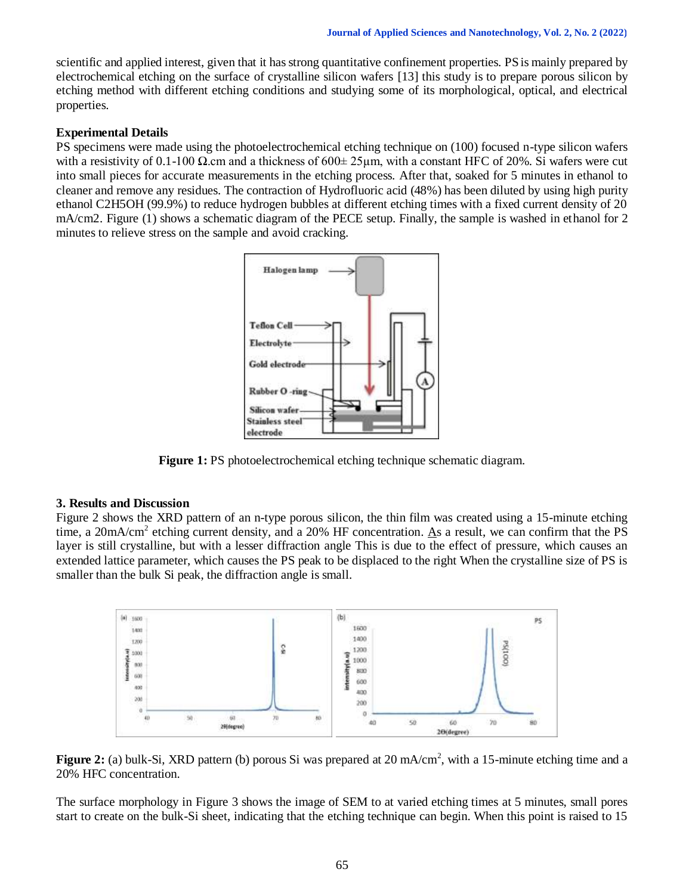scientific and applied interest, given that it has strong quantitative confinement properties. PSis mainly prepared by electrochemical etching on the surface of crystalline silicon wafers [13] this study is to prepare porous silicon by etching method with different etching conditions and studying some of its morphological, optical, and electrical properties.

## **Experimental Details**

PS specimens were made using the photoelectrochemical etching technique on (100) focused n-type silicon wafers with a resistivity of 0.1-100  $\Omega$  cm and a thickness of 600 $\pm$  25 µm, with a constant HFC of 20%. Si wafers were cut into small pieces for accurate measurements in the etching process. After that, soaked for 5 minutes in ethanol to cleaner and remove any residues. The contraction of Hydrofluoric acid (48%) has been diluted by using high purity ethanol C2H5OH (99.9%) to reduce hydrogen bubbles at different etching times with a fixed current density of 20 mA/cm2. Figure (1) shows a schematic diagram of the PECE setup. Finally, the sample is washed in ethanol for 2 minutes to relieve stress on the sample and avoid cracking.



**Figure 1:** PS photoelectrochemical etching technique schematic diagram.

## **3. Results and Discussion**

Figure 2 shows the XRD pattern of an n-type porous silicon, the thin film was created using a 15-minute etching time, a 20mA/cm<sup>2</sup> etching current density, and a 20% HF concentration. As a result, we can confirm that the PS layer is still crystalline, but with a lesser diffraction angle This is due to the effect of pressure, which causes an extended lattice parameter, which causes the PS peak to be displaced to the right When the crystalline size of PS is smaller than the bulk Si peak, the diffraction angle is small.



**Figure 2:** (a) bulk-Si, XRD pattern (b) porous Si was prepared at 20 mA/cm<sup>2</sup>, with a 15-minute etching time and a 20% HFC concentration.

The surface morphology in Figure 3 shows the image of SEM to at varied etching times at 5 minutes, small pores start to create on the bulk-Si sheet, indicating that the etching technique can begin. When this point is raised to 15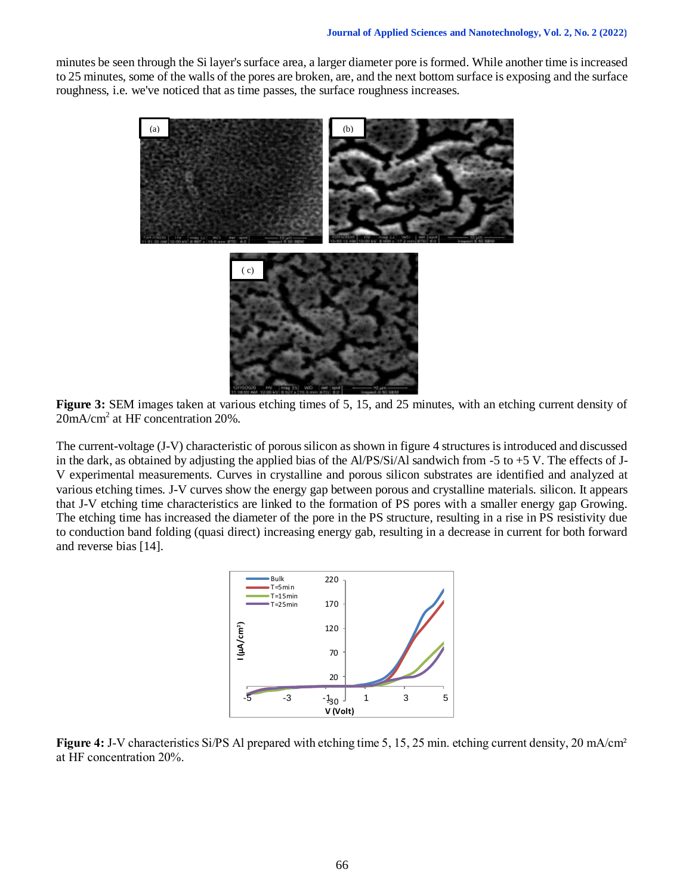minutes be seen through the Si layer's surface area, a larger diameter pore is formed. While another time is increased to 25 minutes, some of the walls of the pores are broken, are, and the next bottom surface is exposing and the surface roughness, i.e. we've noticed that as time passes, the surface roughness increases.



**Figure 3:** SEM images taken at various etching times of 5, 15, and 25 minutes, with an etching current density of 20mA/cm<sup>2</sup> at HF concentration 20%.

The current-voltage (J-V) characteristic of porous silicon as shown in figure 4 structures isintroduced and discussed in the dark, as obtained by adjusting the applied bias of the Al/PS/Si/Al sandwich from -5 to +5 V. The effects of J-V experimental measurements. Curves in crystalline and porous silicon substrates are identified and analyzed at various etching times. J-V curves show the energy gap between porous and crystalline materials. silicon. It appears that J-V etching time characteristics are linked to the formation of PS pores with a smaller energy gap Growing. The etching time has increased the diameter of the pore in the PS structure, resulting in a rise in PS resistivity due to conduction band folding (quasi direct) increasing energy gab, resulting in a decrease in current for both forward and reverse bias [14].



**Figure 4:** J-V characteristics Si/PS Al prepared with etching time 5, 15, 25 min. etching current density, 20 mA/cm² at HF concentration 20%.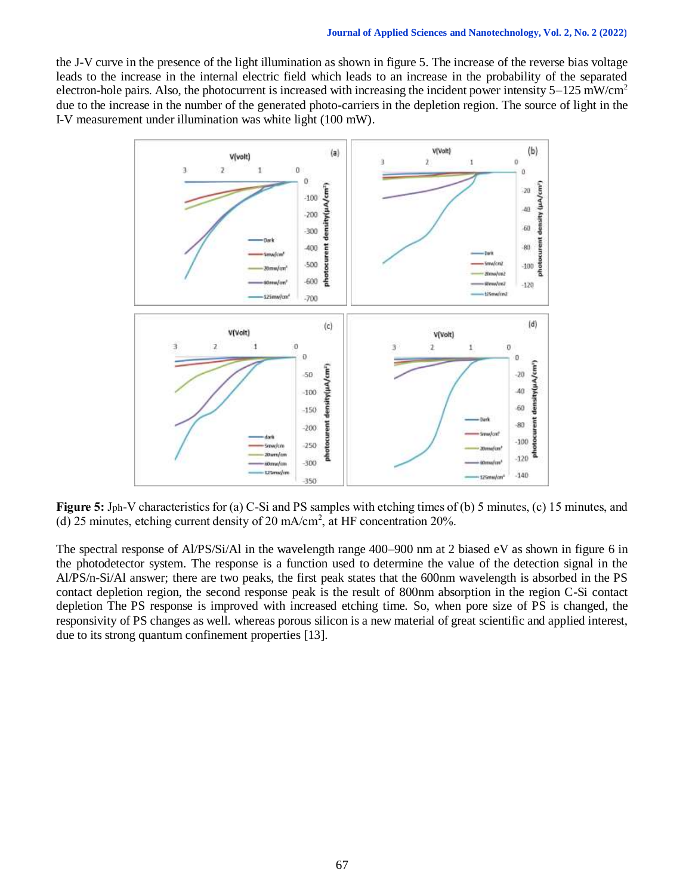the J-V curve in the presence of the light illumination as shown in figure 5. The increase of the reverse bias voltage leads to the increase in the internal electric field which leads to an increase in the probability of the separated electron-hole pairs. Also, the photocurrent is increased with increasing the incident power intensity  $5-125$  mW/cm<sup>2</sup> due to the increase in the number of the generated photo-carriers in the depletion region. The source of light in the I-V measurement under illumination was white light (100 mW).



**Figure 5:** Jph-V characteristics for (a) C-Si and PS samples with etching times of (b) 5 minutes, (c) 15 minutes, and (d) 25 minutes, etching current density of 20 mA/cm<sup>2</sup>, at HF concentration 20%.

The spectral response of Al/PS/Si/Al in the wavelength range 400–900 nm at 2 biased eV as shown in figure 6 in the photodetector system. The response is a function used to determine the value of the detection signal in the Al/PS/n-Si/Al answer; there are two peaks, the first peak states that the 600nm wavelength is absorbed in the PS contact depletion region, the second response peak is the result of 800nm absorption in the region C-Si contact depletion The PS response is improved with increased etching time. So, when pore size of PS is changed, the responsivity of PS changes as well. whereas porous silicon is a new material of great scientific and applied interest, due to its strong quantum confinement properties [13].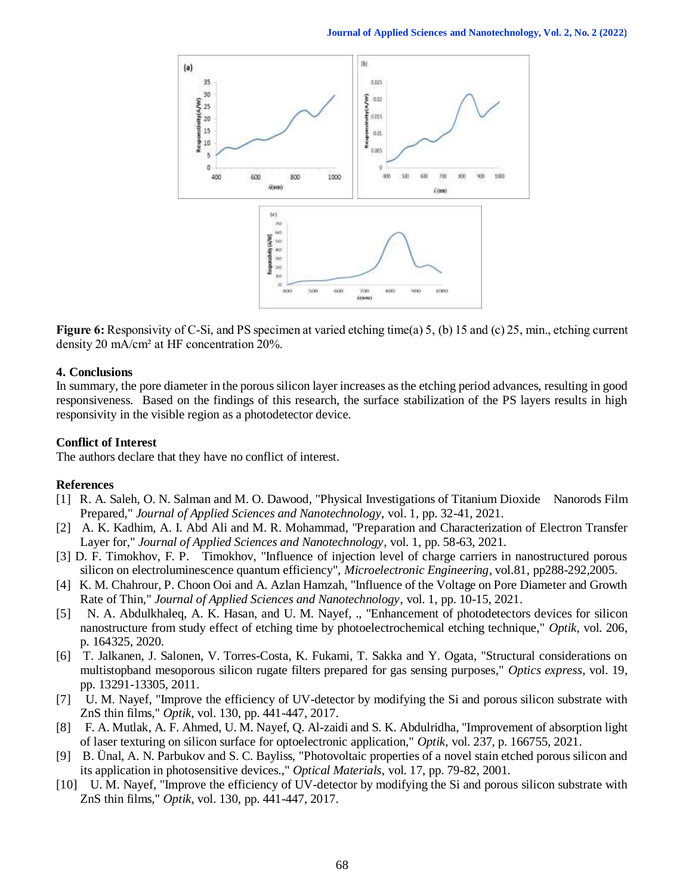

**Figure 6:** Responsivity of C-Si, and PS specimen at varied etching time(a) 5, (b) 15 and (c) 25, min., etching current density 20 mA/cm² at HF concentration 20%.

#### **4. Conclusions**

In summary, the pore diameter in the porous silicon layer increases as the etching period advances, resulting in good responsiveness. Based on the findings of this research, the surface stabilization of the PS layers results in high responsivity in the visible region as a photodetector device.

#### **Conflict of Interest**

The authors declare that they have no conflict of interest.

#### **References**

- [1] R. A. Saleh, O. N. Salman and M. O. Dawood, "Physical Investigations of Titanium Dioxide Nanorods Film Prepared," *Journal of Applied Sciences and Nanotechnology*, vol. 1, pp. 32-41, 2021.
- [2] A. K. Kadhim, A. I. Abd Ali and M. R. Mohammad, "Preparation and Characterization of Electron Transfer Layer for," *Journal of Applied Sciences and Nanotechnology*, vol. 1, pp. 58-63, 2021.
- [3] D. F. Timokhov, F. P. Timokhov, "Influence of injection level of charge carriers in nanostructured porous silicon on electroluminescence quantum efficiency", *Microelectronic Engineering*, vol.81, pp288-292,2005.
- [4] K. M. Chahrour, P. Choon Ooi and A. Azlan Hamzah, "Influence of the Voltage on Pore Diameter and Growth Rate of Thin," *Journal of Applied Sciences and Nanotechnology*, vol. 1, pp. 10-15, 2021.
- [5] N. A. Abdulkhaleq, A. K. Hasan, and U. M. Nayef, ., "Enhancement of photodetectors devices for silicon nanostructure from study effect of etching time by photoelectrochemical etching technique," *Optik*, vol. 206, p. 164325, 2020.
- [6] T. Jalkanen, J. Salonen, V. Torres-Costa, K. Fukami, T. Sakka and Y. Ogata, "Structural considerations on multistopband mesoporous silicon rugate filters prepared for gas sensing purposes," *Optics express*, vol. 19, pp. 13291-13305, 2011.
- [7] U. M. Nayef, "Improve the efficiency of UV-detector by modifying the Si and porous silicon substrate with ZnS thin films," *Optik*, vol. 130, pp. 441-447, 2017.
- [8] F. A. Mutlak, A. F. Ahmed, U. M. Nayef, Q. Al-zaidi and S. K. Abdulridha, "Improvement of absorption light of laser texturing on silicon surface for optoelectronic application," *Optik*, vol. 237, p. 166755, 2021.
- [9] B. Ünal, A. N. Parbukov and S. C. Bayliss, "Photovoltaic properties of a novel stain etched porous silicon and its application in photosensitive devices.," *Optical Materials*, vol. 17, pp. 79-82, 2001.
- [10] U. M. Nayef, "Improve the efficiency of UV-detector by modifying the Si and porous silicon substrate with ZnS thin films," *Optik*, vol. 130, pp. 441-447, 2017.